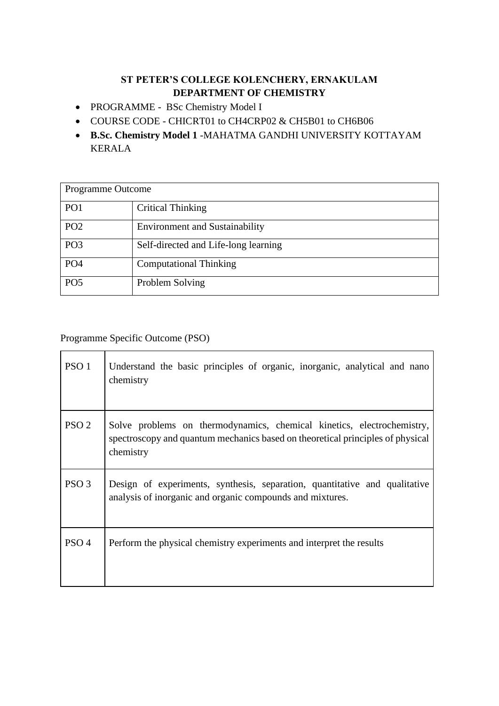### **ST PETER'S COLLEGE KOLENCHERY, ERNAKULAM DEPARTMENT OF CHEMISTRY**

- PROGRAMME BSc Chemistry Model I
- COURSE CODE CHICRT01 to CH4CRP02 & CH5B01 to CH6B06
- **B.Sc. Chemistry Model 1** -MAHATMA GANDHI UNIVERSITY KOTTAYAM KERALA

| Programme Outcome |                                       |
|-------------------|---------------------------------------|
| PO <sub>1</sub>   | Critical Thinking                     |
| PO <sub>2</sub>   | <b>Environment and Sustainability</b> |
| PO <sub>3</sub>   | Self-directed and Life-long learning  |
| PO <sub>4</sub>   | <b>Computational Thinking</b>         |
| PO <sub>5</sub>   | Problem Solving                       |

Programme Specific Outcome (PSO)

| PSO <sub>1</sub> | Understand the basic principles of organic, inorganic, analytical and nano<br>chemistry                                                                               |
|------------------|-----------------------------------------------------------------------------------------------------------------------------------------------------------------------|
| PSO <sub>2</sub> | Solve problems on thermodynamics, chemical kinetics, electrochemistry,<br>spectroscopy and quantum mechanics based on theoretical principles of physical<br>chemistry |
| PSO <sub>3</sub> | Design of experiments, synthesis, separation, quantitative and qualitative<br>analysis of inorganic and organic compounds and mixtures.                               |
| PSO <sub>4</sub> | Perform the physical chemistry experiments and interpret the results                                                                                                  |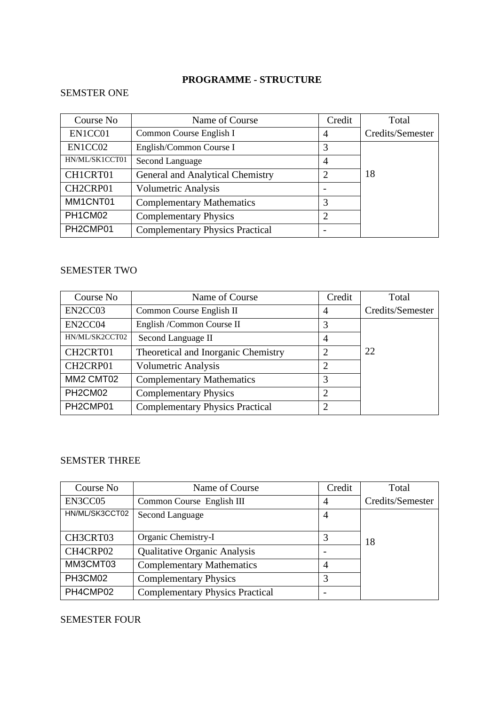### **PROGRAMME - STRUCTURE**

### SEMSTER ONE

| Course No      | Name of Course                         | Credit         | Total            |
|----------------|----------------------------------------|----------------|------------------|
| EN1CC01        | Common Course English I                | $\overline{4}$ | Credits/Semester |
| EN1CC02        | English/Common Course I                | 3              |                  |
| HN/ML/SK1CCT01 | Second Language                        | $\overline{4}$ |                  |
| CH1CRT01       | General and Analytical Chemistry       | $\overline{2}$ | 18               |
| CH2CRP01       | Volumetric Analysis                    |                |                  |
| MM1CNT01       | <b>Complementary Mathematics</b>       | 3              |                  |
| PH1CM02        | <b>Complementary Physics</b>           | 2              |                  |
| PH2CMP01       | <b>Complementary Physics Practical</b> |                |                  |

#### SEMESTER TWO

| Course No      | Name of Course                         | Credit         | Total            |
|----------------|----------------------------------------|----------------|------------------|
| EN2CC03        | Common Course English II               | 4              | Credits/Semester |
| EN2CC04        | English /Common Course II              | 3              |                  |
| HN/ML/SK2CCT02 | Second Language II                     | $\overline{4}$ |                  |
| CH2CRT01       | Theoretical and Inorganic Chemistry    | $\overline{2}$ | 22               |
| CH2CRP01       | <b>Volumetric Analysis</b>             | 2              |                  |
| MM2 CMT02      | <b>Complementary Mathematics</b>       | 3              |                  |
| PH2CM02        | <b>Complementary Physics</b>           | $\overline{2}$ |                  |
| PH2CMP01       | <b>Complementary Physics Practical</b> | $\overline{2}$ |                  |

#### SEMSTER THREE

| Course No      | Name of Course                         | Credit         | Total            |
|----------------|----------------------------------------|----------------|------------------|
| EN3CC05        | Common Course English III              | 4              | Credits/Semester |
| HN/ML/SK3CCT02 | Second Language                        | $\overline{4}$ |                  |
| CH3CRT03       | Organic Chemistry-I                    | 3              | 18               |
| CH4CRP02       | <b>Qualitative Organic Analysis</b>    |                |                  |
| MM3CMT03       | <b>Complementary Mathematics</b>       | 4              |                  |
| PH3CM02        | <b>Complementary Physics</b>           | 3              |                  |
| PH4CMP02       | <b>Complementary Physics Practical</b> |                |                  |

### SEMESTER FOUR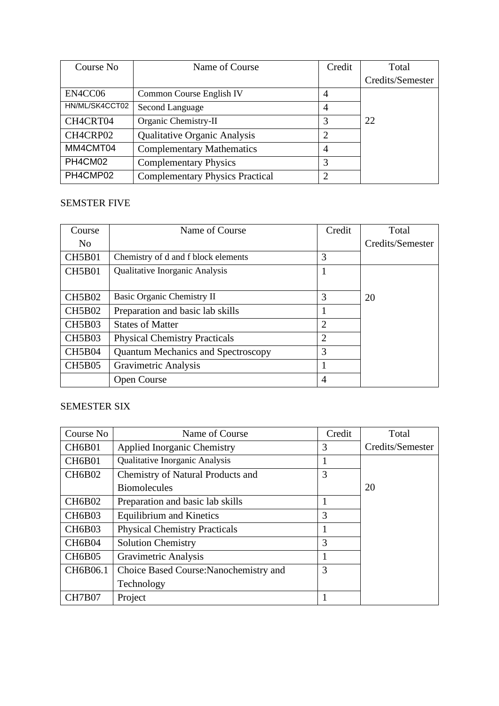| Course No      | Name of Course                         | Credit         | Total            |
|----------------|----------------------------------------|----------------|------------------|
|                |                                        |                | Credits/Semester |
| EN4CC06        | Common Course English IV               | $\overline{4}$ |                  |
| HN/ML/SK4CCT02 | Second Language                        | $\overline{4}$ |                  |
| CH4CRT04       | Organic Chemistry-II                   | 3              | 22               |
| CH4CRP02       | <b>Qualitative Organic Analysis</b>    | $\overline{2}$ |                  |
| MM4CMT04       | <b>Complementary Mathematics</b>       | 4              |                  |
| PH4CM02        | <b>Complementary Physics</b>           | 3              |                  |
| PH4CMP02       | <b>Complementary Physics Practical</b> | $\overline{2}$ |                  |

### SEMSTER FIVE

| Course         | Name of Course                            | Credit         | Total            |
|----------------|-------------------------------------------|----------------|------------------|
| N <sub>0</sub> |                                           |                | Credits/Semester |
| CH5B01         | Chemistry of d and f block elements       | 3              |                  |
| CH5B01         | <b>Qualitative Inorganic Analysis</b>     |                |                  |
|                |                                           |                |                  |
| <b>CH5B02</b>  | Basic Organic Chemistry II                | 3              | 20               |
| <b>CH5B02</b>  | Preparation and basic lab skills          |                |                  |
| <b>CH5B03</b>  | <b>States of Matter</b>                   | $\overline{2}$ |                  |
| <b>CH5B03</b>  | <b>Physical Chemistry Practicals</b>      | $\overline{2}$ |                  |
| <b>CH5B04</b>  | <b>Quantum Mechanics and Spectroscopy</b> | 3              |                  |
| <b>CH5B05</b>  | Gravimetric Analysis                      |                |                  |
|                | <b>Open Course</b>                        | 4              |                  |

### SEMESTER SIX

| Course No     | Name of Course                         | Credit | Total            |
|---------------|----------------------------------------|--------|------------------|
| <b>CH6B01</b> | <b>Applied Inorganic Chemistry</b>     | 3      | Credits/Semester |
| <b>CH6B01</b> | Qualitative Inorganic Analysis         |        |                  |
| <b>CH6B02</b> | Chemistry of Natural Products and      | 3      |                  |
|               | <b>Biomolecules</b>                    |        | 20               |
| <b>CH6B02</b> | Preparation and basic lab skills       | 1      |                  |
| <b>CH6B03</b> | <b>Equilibrium and Kinetics</b>        | 3      |                  |
| <b>CH6B03</b> | <b>Physical Chemistry Practicals</b>   |        |                  |
| <b>CH6B04</b> | <b>Solution Chemistry</b>              | 3      |                  |
| <b>CH6B05</b> | Gravimetric Analysis                   |        |                  |
| CH6B06.1      | Choice Based Course: Nanochemistry and | 3      |                  |
|               | Technology                             |        |                  |
| CH7B07        | Project                                |        |                  |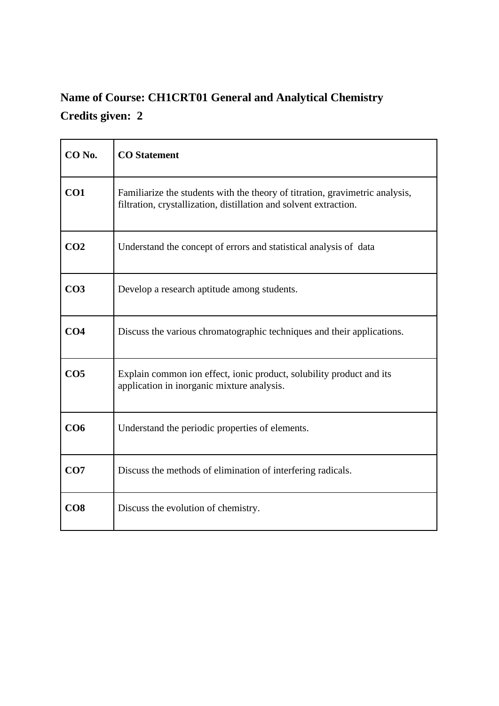## **Name of Course: CH1CRT01 General and Analytical Chemistry Credits given: 2**

| CO No.          | <b>CO</b> Statement                                                                                                                               |
|-----------------|---------------------------------------------------------------------------------------------------------------------------------------------------|
| CO1             | Familiarize the students with the theory of titration, gravimetric analysis,<br>filtration, crystallization, distillation and solvent extraction. |
| CO <sub>2</sub> | Understand the concept of errors and statistical analysis of data                                                                                 |
| CO <sub>3</sub> | Develop a research aptitude among students.                                                                                                       |
| CO <sub>4</sub> | Discuss the various chromatographic techniques and their applications.                                                                            |
| CO <sub>5</sub> | Explain common ion effect, ionic product, solubility product and its<br>application in inorganic mixture analysis.                                |
| CO <sub>6</sub> | Understand the periodic properties of elements.                                                                                                   |
| CO7             | Discuss the methods of elimination of interfering radicals.                                                                                       |
| CO8             | Discuss the evolution of chemistry.                                                                                                               |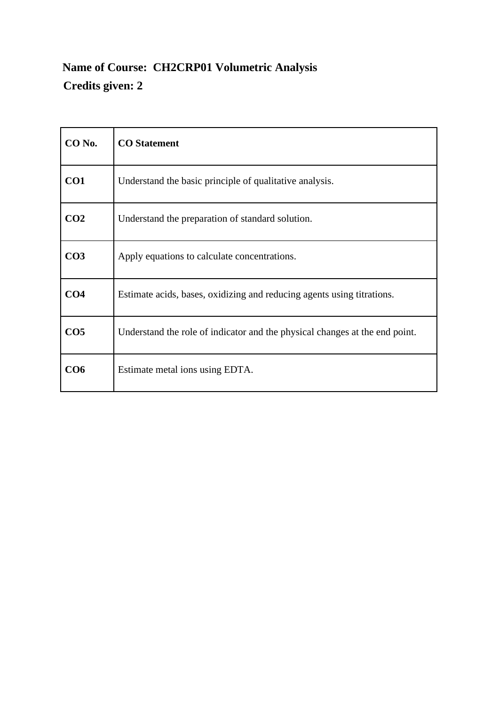## **Name of Course: CH2CRP01 Volumetric Analysis Credits given: 2**

| CO <sub>No.</sub> | <b>CO</b> Statement                                                         |
|-------------------|-----------------------------------------------------------------------------|
| CO <sub>1</sub>   | Understand the basic principle of qualitative analysis.                     |
| CO <sub>2</sub>   | Understand the preparation of standard solution.                            |
| CO <sub>3</sub>   | Apply equations to calculate concentrations.                                |
| CO <sub>4</sub>   | Estimate acids, bases, oxidizing and reducing agents using titrations.      |
| CO <sub>5</sub>   | Understand the role of indicator and the physical changes at the end point. |
| CO6               | Estimate metal ions using EDTA.                                             |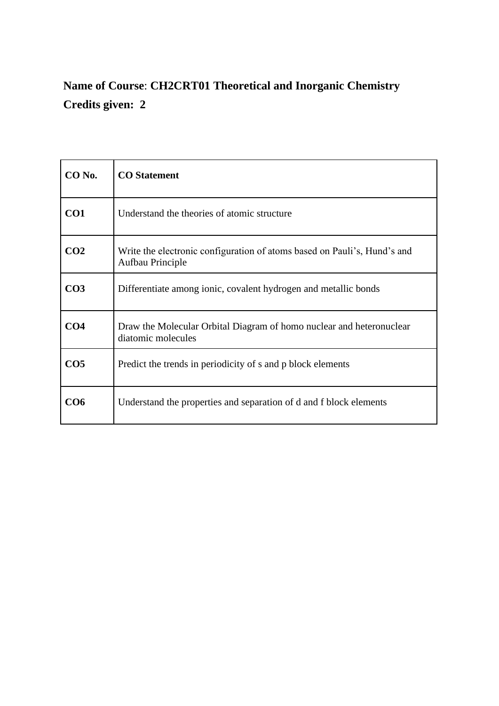## **Name of Course**: **CH2CRT01 Theoretical and Inorganic Chemistry Credits given: 2**

| CO No.          | <b>CO</b> Statement                                                                          |
|-----------------|----------------------------------------------------------------------------------------------|
| CO <sub>1</sub> | Understand the theories of atomic structure                                                  |
| CO <sub>2</sub> | Write the electronic configuration of atoms based on Pauli's, Hund's and<br>Aufbau Principle |
| CO <sub>3</sub> | Differentiate among ionic, covalent hydrogen and metallic bonds                              |
| CO <sub>4</sub> | Draw the Molecular Orbital Diagram of homo nuclear and heteronuclear<br>diatomic molecules   |
| CO <sub>5</sub> | Predict the trends in periodicity of s and p block elements                                  |
| CO6             | Understand the properties and separation of d and f block elements                           |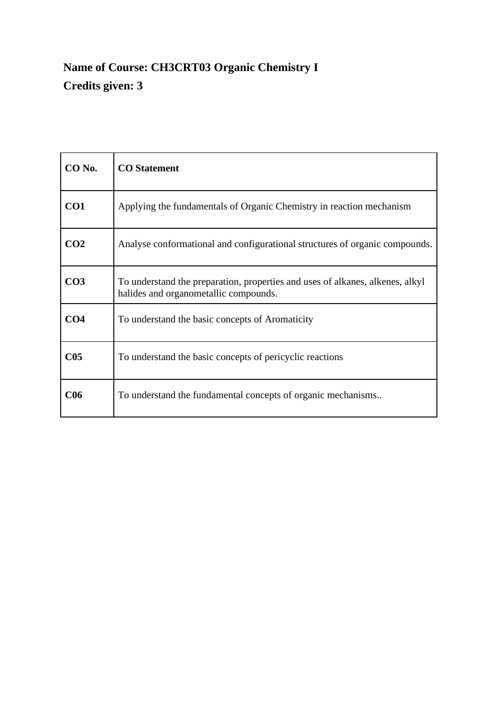## **Name of Course: CH3CRT03 Organic Chemistry I Credits given: 3**

| CO No.          | <b>CO</b> Statement                                                                                                    |
|-----------------|------------------------------------------------------------------------------------------------------------------------|
| CO <sub>1</sub> | Applying the fundamentals of Organic Chemistry in reaction mechanism                                                   |
| CO <sub>2</sub> | Analyse conformational and configurational structures of organic compounds.                                            |
| CO <sub>3</sub> | To understand the preparation, properties and uses of alkanes, alkenes, alkyl<br>halides and organometallic compounds. |
| CO <sub>4</sub> | To understand the basic concepts of Aromaticity                                                                        |
| $\bf C05$       | To understand the basic concepts of pericyclic reactions                                                               |
| <b>C06</b>      | To understand the fundamental concepts of organic mechanisms                                                           |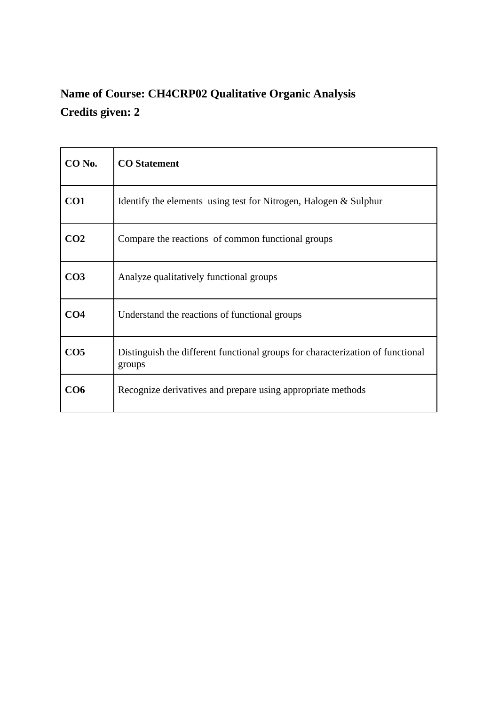# **Name of Course: CH4CRP02 Qualitative Organic Analysis Credits given: 2**

| CO <sub>No.</sub> | <b>CO</b> Statement                                                                      |
|-------------------|------------------------------------------------------------------------------------------|
| CO1               | Identify the elements using test for Nitrogen, Halogen & Sulphur                         |
| CO <sub>2</sub>   | Compare the reactions of common functional groups                                        |
| CO <sub>3</sub>   | Analyze qualitatively functional groups                                                  |
| CO <sub>4</sub>   | Understand the reactions of functional groups                                            |
| CO <sub>5</sub>   | Distinguish the different functional groups for characterization of functional<br>groups |
| CO6               | Recognize derivatives and prepare using appropriate methods                              |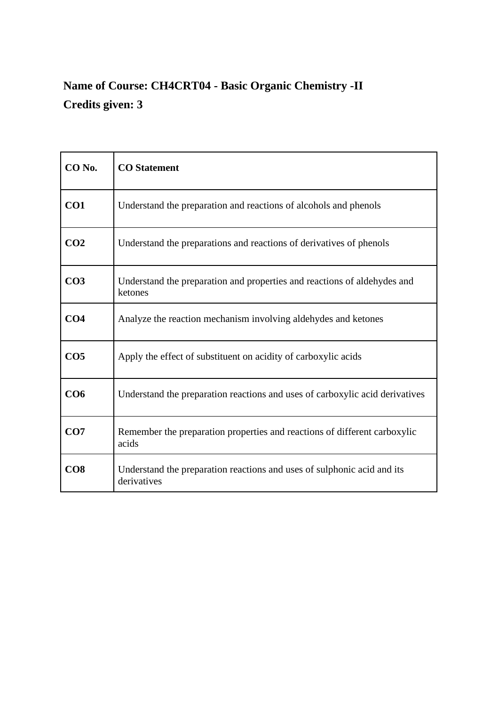## **Name of Course: CH4CRT04 - Basic Organic Chemistry -II Credits given: 3**

| CO <sub>No.</sub> | <b>CO</b> Statement                                                                    |
|-------------------|----------------------------------------------------------------------------------------|
| CO1               | Understand the preparation and reactions of alcohols and phenols                       |
| CO <sub>2</sub>   | Understand the preparations and reactions of derivatives of phenols                    |
| CO <sub>3</sub>   | Understand the preparation and properties and reactions of aldehydes and<br>ketones    |
| CO <sub>4</sub>   | Analyze the reaction mechanism involving aldehydes and ketones                         |
| CO <sub>5</sub>   | Apply the effect of substituent on acidity of carboxylic acids                         |
| CO6               | Understand the preparation reactions and uses of carboxylic acid derivatives           |
| CO7               | Remember the preparation properties and reactions of different carboxylic<br>acids     |
| CO8               | Understand the preparation reactions and uses of sulphonic acid and its<br>derivatives |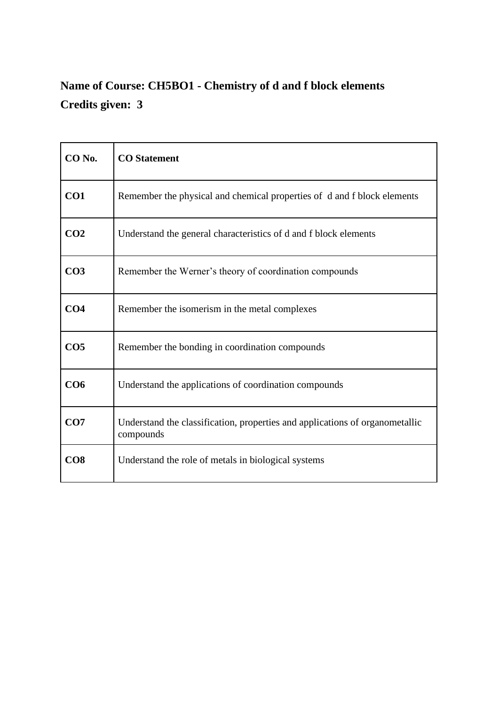## **Name of Course: CH5BO1 - Chemistry of d and f block elements Credits given: 3**

| CO <sub>No.</sub> | <b>CO</b> Statement                                                                       |
|-------------------|-------------------------------------------------------------------------------------------|
| CO <sub>1</sub>   | Remember the physical and chemical properties of d and f block elements                   |
| CO <sub>2</sub>   | Understand the general characteristics of d and f block elements                          |
| CO <sub>3</sub>   | Remember the Werner's theory of coordination compounds                                    |
| CO <sub>4</sub>   | Remember the isomerism in the metal complexes                                             |
| CO <sub>5</sub>   | Remember the bonding in coordination compounds                                            |
| CO6               | Understand the applications of coordination compounds                                     |
| CO7               | Understand the classification, properties and applications of organometallic<br>compounds |
| CO8               | Understand the role of metals in biological systems                                       |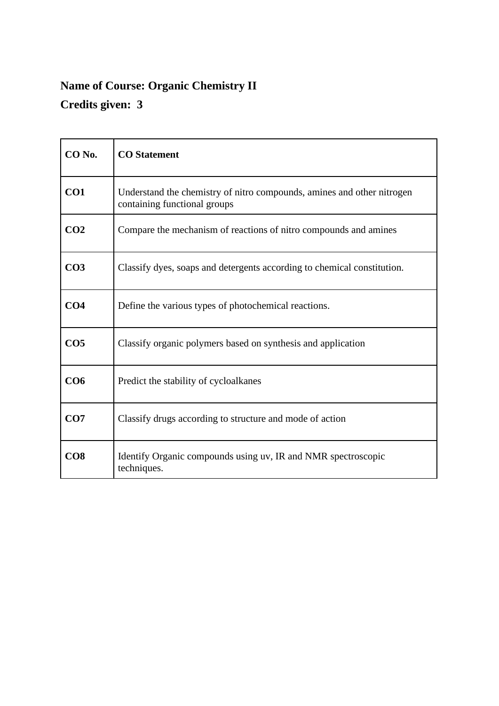# **Name of Course: Organic Chemistry II Credits given: 3**

| CO <sub>No.</sub> | <b>CO</b> Statement                                                                                    |
|-------------------|--------------------------------------------------------------------------------------------------------|
| CO1               | Understand the chemistry of nitro compounds, amines and other nitrogen<br>containing functional groups |
| CO <sub>2</sub>   | Compare the mechanism of reactions of nitro compounds and amines                                       |
| CO <sub>3</sub>   | Classify dyes, soaps and detergents according to chemical constitution.                                |
| CO <sub>4</sub>   | Define the various types of photochemical reactions.                                                   |
| CO <sub>5</sub>   | Classify organic polymers based on synthesis and application                                           |
| CO <sub>6</sub>   | Predict the stability of cycloalkanes                                                                  |
| CO7               | Classify drugs according to structure and mode of action                                               |
| CO8               | Identify Organic compounds using uv, IR and NMR spectroscopic<br>techniques.                           |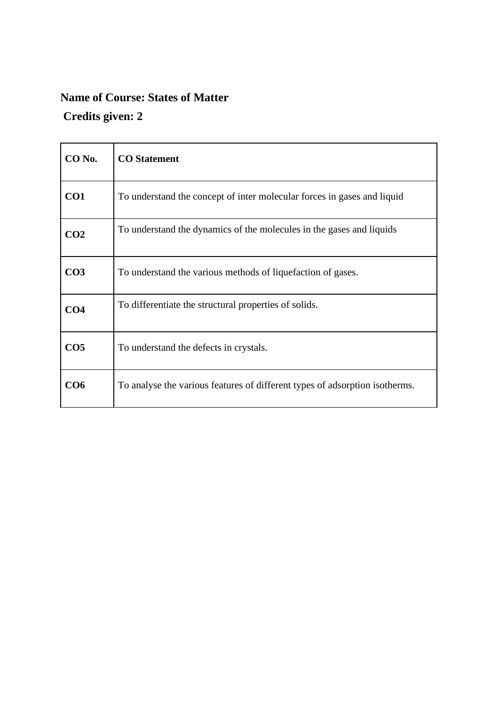## **Name of Course: States of Matter**

### **Credits given: 2**

| CO <sub>No.</sub> | <b>CO</b> Statement                                                         |
|-------------------|-----------------------------------------------------------------------------|
| CO1               | To understand the concept of inter molecular forces in gases and liquid     |
| CO <sub>2</sub>   | To understand the dynamics of the molecules in the gases and liquids        |
| CO <sub>3</sub>   | To understand the various methods of liquefaction of gases.                 |
| CO <sub>4</sub>   | To differentiate the structural properties of solids.                       |
| CO <sub>5</sub>   | To understand the defects in crystals.                                      |
| CO6               | To analyse the various features of different types of adsorption isotherms. |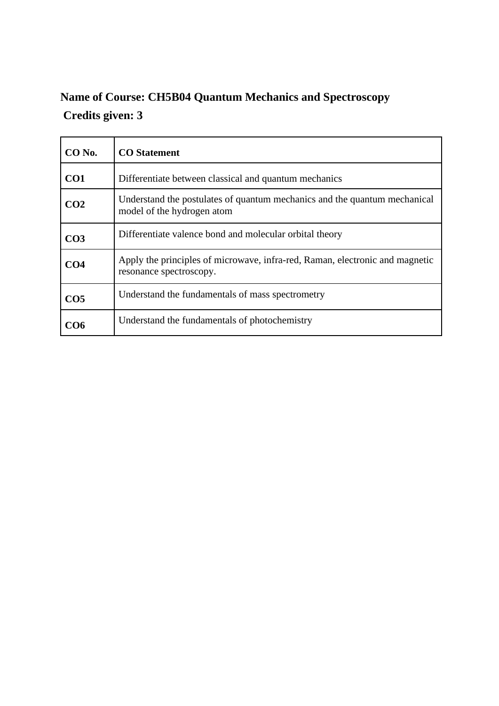## **Name of Course: CH5B04 Quantum Mechanics and Spectroscopy Credits given: 3**

| $CO$ No.        | <b>CO</b> Statement                                                                                     |
|-----------------|---------------------------------------------------------------------------------------------------------|
| CO <sub>1</sub> | Differentiate between classical and quantum mechanics                                                   |
| CO <sub>2</sub> | Understand the postulates of quantum mechanics and the quantum mechanical<br>model of the hydrogen atom |
| CO <sub>3</sub> | Differentiate valence bond and molecular orbital theory                                                 |
| CO4             | Apply the principles of microwave, infra-red, Raman, electronic and magnetic<br>resonance spectroscopy. |
| CO <sub>5</sub> | Understand the fundamentals of mass spectrometry                                                        |
| CO6             | Understand the fundamentals of photochemistry                                                           |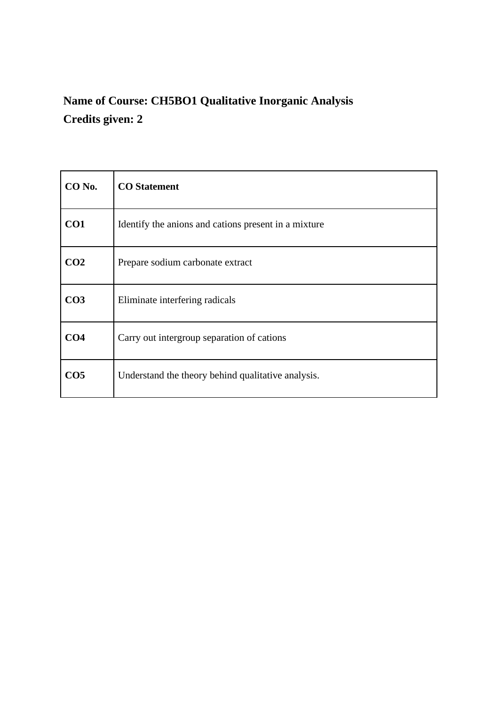# **Name of Course: CH5BO1 Qualitative Inorganic Analysis Credits given: 2**

| CO No.          | <b>CO</b> Statement                                  |
|-----------------|------------------------------------------------------|
| CO <sub>1</sub> | Identify the anions and cations present in a mixture |
| CO <sub>2</sub> | Prepare sodium carbonate extract                     |
| CO <sub>3</sub> | Eliminate interfering radicals                       |
| CO <sub>4</sub> | Carry out intergroup separation of cations           |
| CO <sub>5</sub> | Understand the theory behind qualitative analysis.   |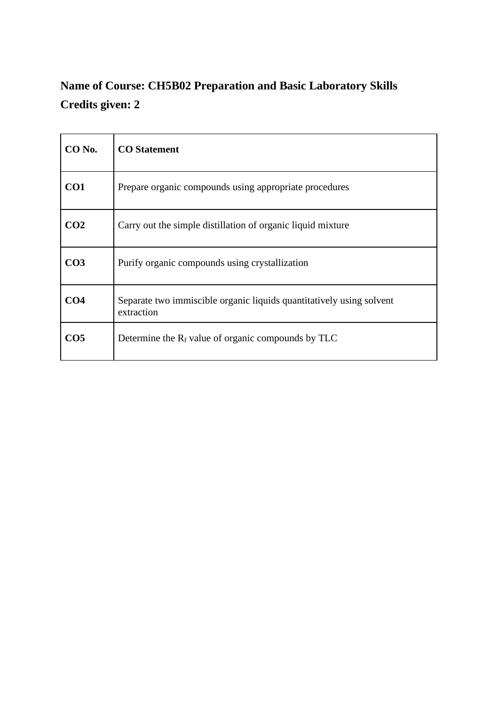## **Name of Course: CH5B02 Preparation and Basic Laboratory Skills Credits given: 2**

| CO No.          | <b>CO</b> Statement                                                                |
|-----------------|------------------------------------------------------------------------------------|
| CO1             | Prepare organic compounds using appropriate procedures                             |
| CO <sub>2</sub> | Carry out the simple distillation of organic liquid mixture                        |
| CO <sub>3</sub> | Purify organic compounds using crystallization                                     |
| CO <sub>4</sub> | Separate two immiscible organic liquids quantitatively using solvent<br>extraction |
| CO <sub>5</sub> | Determine the $R_f$ value of organic compounds by TLC                              |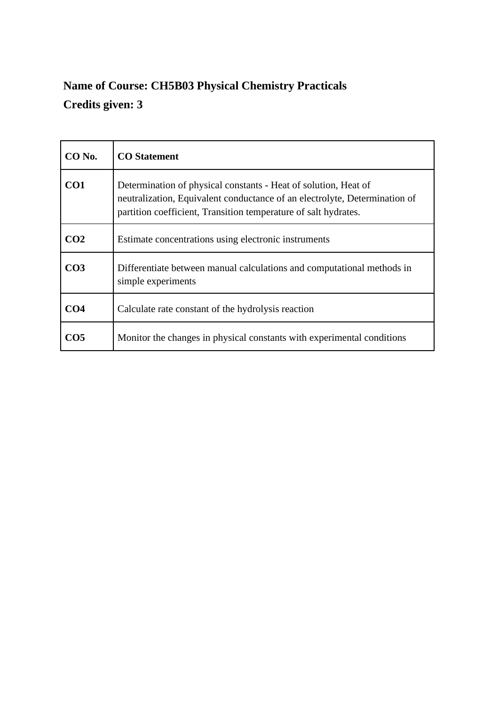## **Name of Course: CH5B03 Physical Chemistry Practicals Credits given: 3**

| $CO$ No.        | <b>CO</b> Statement                                                                                                                                                                                              |
|-----------------|------------------------------------------------------------------------------------------------------------------------------------------------------------------------------------------------------------------|
| CO <sub>1</sub> | Determination of physical constants - Heat of solution, Heat of<br>neutralization, Equivalent conductance of an electrolyte, Determination of<br>partition coefficient, Transition temperature of salt hydrates. |
| CO <sub>2</sub> | Estimate concentrations using electronic instruments                                                                                                                                                             |
| CO <sub>3</sub> | Differentiate between manual calculations and computational methods in<br>simple experiments                                                                                                                     |
| CO4             | Calculate rate constant of the hydrolysis reaction                                                                                                                                                               |
| CO5             | Monitor the changes in physical constants with experimental conditions                                                                                                                                           |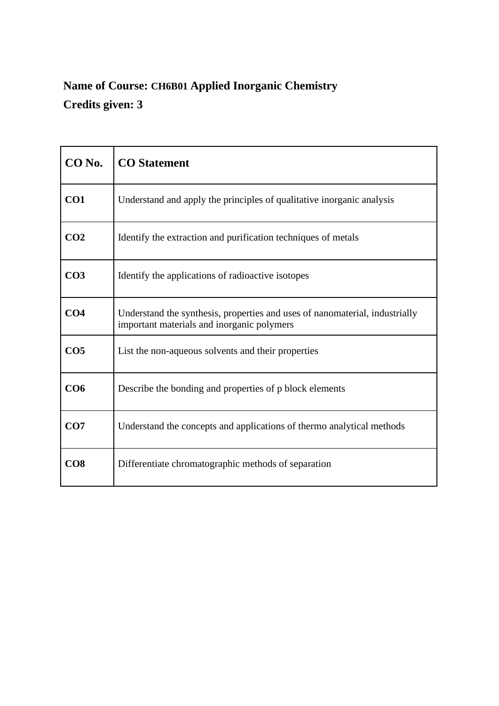## **Name of Course: CH6B01 Applied Inorganic Chemistry Credits given: 3**

| CO No.          | <b>CO</b> Statement                                                                                                       |
|-----------------|---------------------------------------------------------------------------------------------------------------------------|
| CO <sub>1</sub> | Understand and apply the principles of qualitative inorganic analysis                                                     |
| CO <sub>2</sub> | Identify the extraction and purification techniques of metals                                                             |
| CO <sub>3</sub> | Identify the applications of radioactive isotopes                                                                         |
| CO <sub>4</sub> | Understand the synthesis, properties and uses of nanomaterial, industrially<br>important materials and inorganic polymers |
| CO <sub>5</sub> | List the non-aqueous solvents and their properties                                                                        |
| CO6             | Describe the bonding and properties of p block elements                                                                   |
| CO7             | Understand the concepts and applications of thermo analytical methods                                                     |
| CO8             | Differentiate chromatographic methods of separation                                                                       |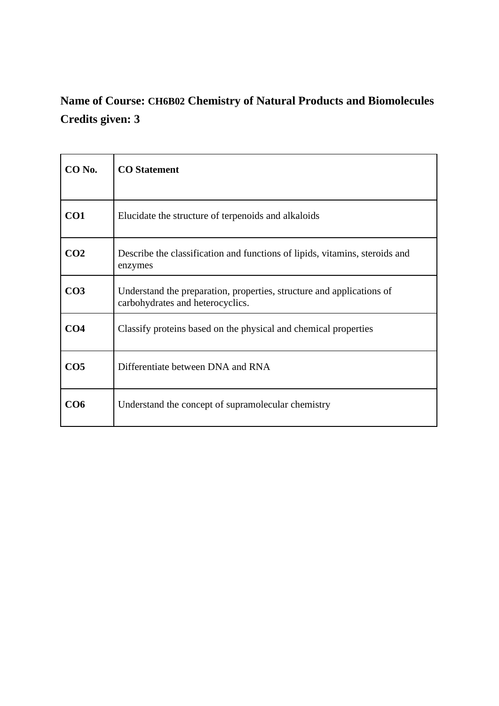# **Name of Course: CH6B02 Chemistry of Natural Products and Biomolecules Credits given: 3**

| CO No.          | <b>CO</b> Statement                                                                                       |
|-----------------|-----------------------------------------------------------------------------------------------------------|
| CO <sub>1</sub> | Elucidate the structure of terpenoids and alkaloids                                                       |
| CO <sub>2</sub> | Describe the classification and functions of lipids, vitamins, steroids and<br>enzymes                    |
| CO <sub>3</sub> | Understand the preparation, properties, structure and applications of<br>carbohydrates and heterocyclics. |
| CO <sub>4</sub> | Classify proteins based on the physical and chemical properties                                           |
| CO <sub>5</sub> | Differentiate between DNA and RNA                                                                         |
| CO6             | Understand the concept of supramolecular chemistry                                                        |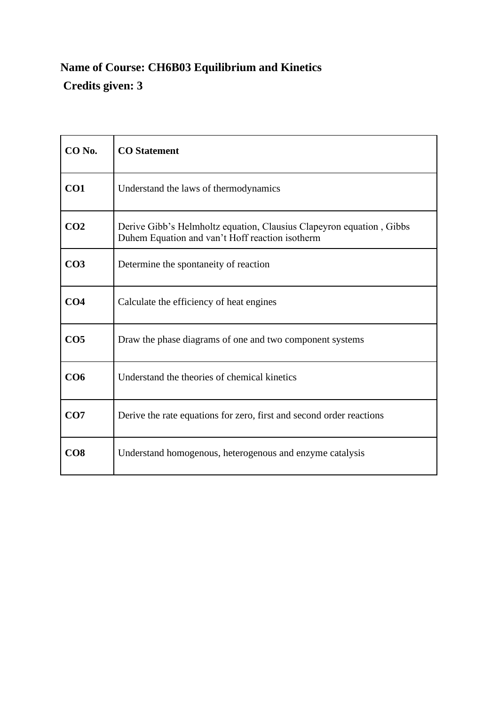## **Name of Course: CH6B03 Equilibrium and Kinetics Credits given: 3**

| CO No.          | <b>CO</b> Statement                                                                                                     |
|-----------------|-------------------------------------------------------------------------------------------------------------------------|
| CO1             | Understand the laws of thermodynamics                                                                                   |
| CO <sub>2</sub> | Derive Gibb's Helmholtz equation, Clausius Clapeyron equation, Gibbs<br>Duhem Equation and van't Hoff reaction isotherm |
| CO <sub>3</sub> | Determine the spontaneity of reaction                                                                                   |
| CO <sub>4</sub> | Calculate the efficiency of heat engines                                                                                |
| CO <sub>5</sub> | Draw the phase diagrams of one and two component systems                                                                |
| CO <sub>6</sub> | Understand the theories of chemical kinetics                                                                            |
| CO7             | Derive the rate equations for zero, first and second order reactions                                                    |
| CO8             | Understand homogenous, heterogenous and enzyme catalysis                                                                |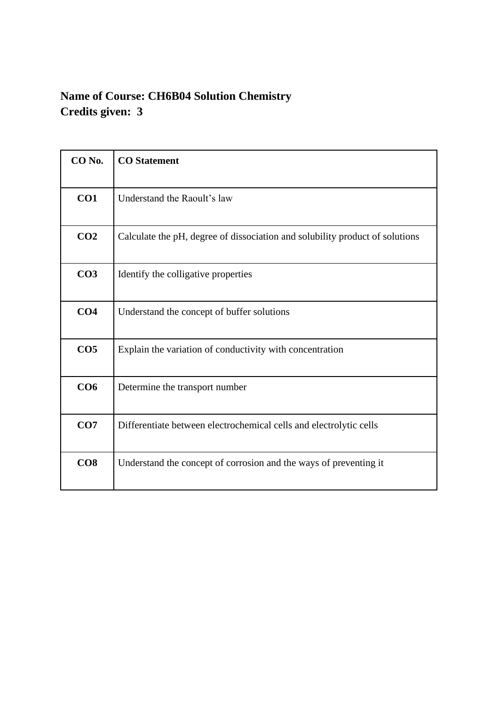### **Name of Course: CH6B04 Solution Chemistry Credits given: 3**

| CO No.          | <b>CO</b> Statement                                                          |
|-----------------|------------------------------------------------------------------------------|
| CO1             | Understand the Raoult's law                                                  |
| CO <sub>2</sub> | Calculate the pH, degree of dissociation and solubility product of solutions |
| CO <sub>3</sub> | Identify the colligative properties                                          |
| CO <sub>4</sub> | Understand the concept of buffer solutions                                   |
| CO <sub>5</sub> | Explain the variation of conductivity with concentration                     |
| CO6             | Determine the transport number                                               |
| CO7             | Differentiate between electrochemical cells and electrolytic cells           |
| CO8             | Understand the concept of corrosion and the ways of preventing it            |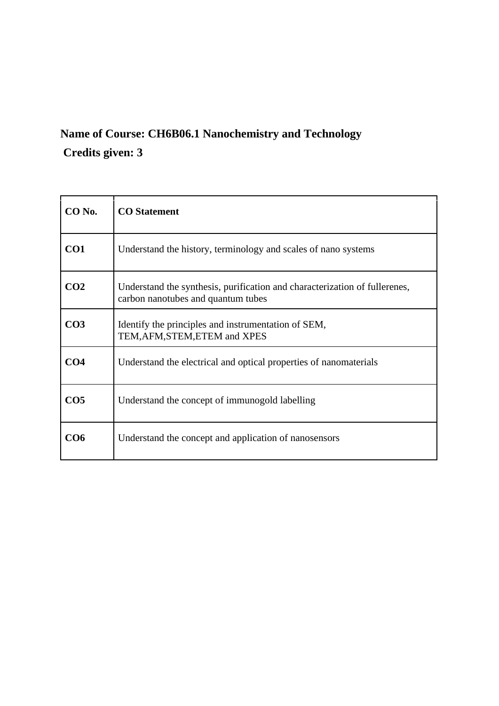## **Name of Course: CH6B06.1 Nanochemistry and Technology Credits given: 3**

| $CO$ No.        | <b>CO</b> Statement                                                                                              |
|-----------------|------------------------------------------------------------------------------------------------------------------|
| CO1             | Understand the history, terminology and scales of nano systems                                                   |
| CO <sub>2</sub> | Understand the synthesis, purification and characterization of fullerenes,<br>carbon nanotubes and quantum tubes |
| CO <sub>3</sub> | Identify the principles and instrumentation of SEM,<br>TEM, AFM, STEM, ETEM and XPES                             |
| CO <sub>4</sub> | Understand the electrical and optical properties of nanomaterials                                                |
| CO <sub>5</sub> | Understand the concept of immunogold labelling                                                                   |
| CO6             | Understand the concept and application of nanosensors                                                            |